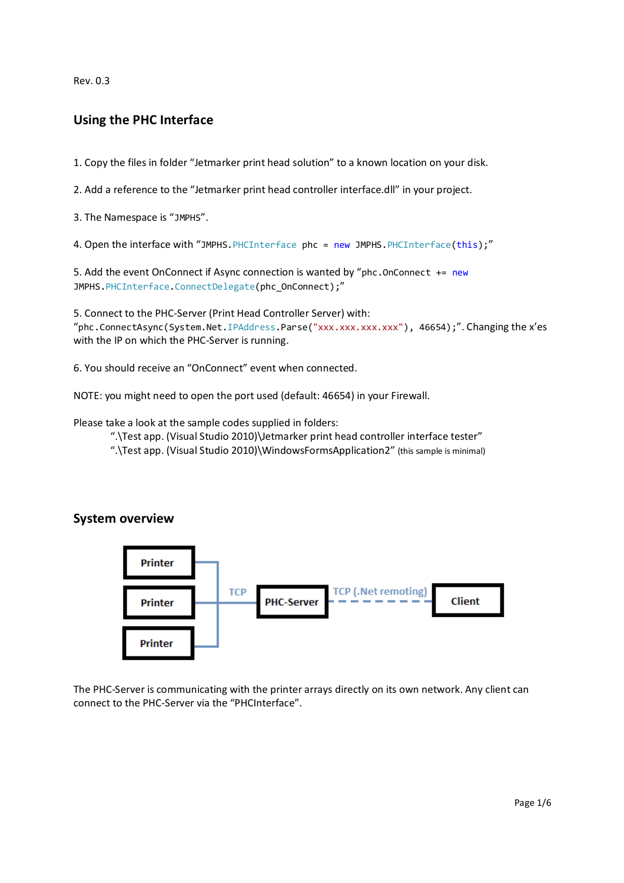Rev. 0.3

## Using the PHC Interface

1. Copy the files in folder "Jetmarker print head solution" to a known location on your disk.

2. Add a reference to the "Jetmarker print head controller interface.dll" in your project.

3. The Namespace is "JMPHS".

4. Open the interface with "JMPHS. PHCInterface phc = new JMPHS. PHCInterface(this);"

```
5. Add the event OnConnect if Async connection is wanted by "phc.OnConnect += new
JMPHS.PHCInterface.ConnectDelegate(phc OnConnect);"
```
5. Connect to the PHC-Server (Print Head Controller Server) with: "phc.ConnectAsync(System.Net.IPAddress.Parse("xxx.xxx.xxx.xxx"), 46654);". Changing the x'es with the IP on which the PHC-Server is running.

6. You should receive an "OnConnect" event when connected.

NOTE: you might need to open the port used (default: 46654) in your Firewall.

Please take a look at the sample codes supplied in folders:

".\Test app. (Visual Studio 2010)\Jetmarker print head controller interface tester"

".\Test app. (Visual Studio 2010)\WindowsFormsApplication2" (this sample is minimal)

## System overview



The PHC-Server is communicating with the printer arrays directly on its own network. Any client can connect to the PHC-Server via the "PHCInterface".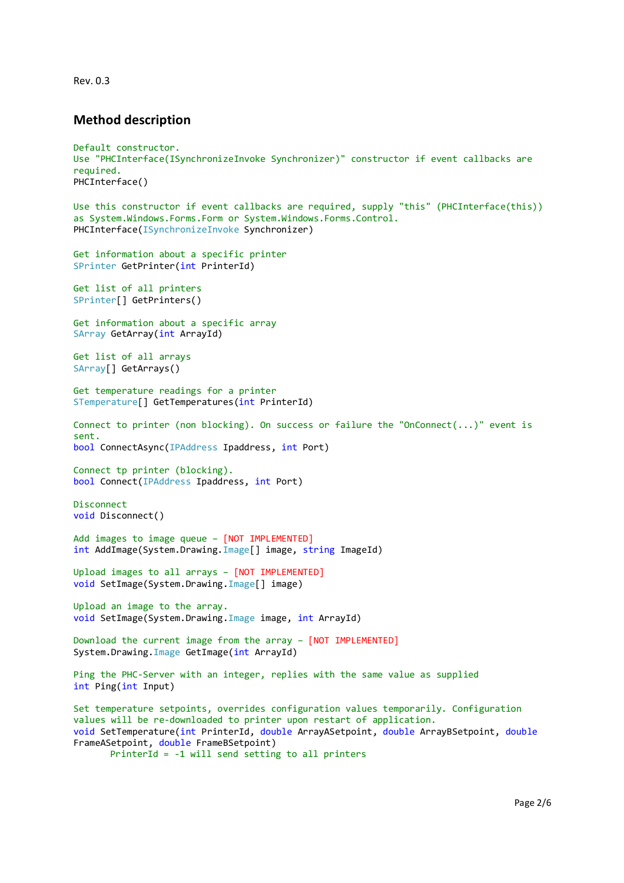Rev. 0.3

#### Method description

```
Default constructor. 
Use "PHCInterface(ISynchronizeInvoke Synchronizer)" constructor if event callbacks are 
required. 
PHCInterface() 
Use this constructor if event callbacks are required, supply "this" (PHCInterface(this)) 
as System.Windows.Forms.Form or System.Windows.Forms.Control. 
PHCInterface(ISynchronizeInvoke Synchronizer) 
Get information about a specific printer 
SPrinter GetPrinter(int PrinterId) 
Get list of all printers 
SPrinter[] GetPrinters() 
Get information about a specific array 
SArray GetArray(int ArrayId) 
Get list of all arrays 
SArray[] GetArrays() 
Get temperature readings for a printer 
STemperature[] GetTemperatures(int PrinterId) 
Connect to printer (non blocking). On success or failure the "OnConnect(...)" event is
sent.
bool ConnectAsync(IPAddress Ipaddress, int Port) 
Connect tp printer (blocking). 
bool Connect(IPAddress Ipaddress, int Port) 
Disconnect 
void Disconnect() 
Add images to image queue – [NOT IMPLEMENTED]
int AddImage(System.Drawing.Image[] image, string ImageId) 
Upload images to all arrays – [NOT IMPLEMENTED]
void SetImage(System.Drawing.Image[] image) 
Upload an image to the array. 
void SetImage(System.Drawing.Image image, int ArrayId) 
Download the current image from the array – [NOT IMPLEMENTED]
System.Drawing.Image GetImage(int ArrayId)
Ping the PHC-Server with an integer, replies with the same value as supplied 
int Ping(int Input) 
Set temperature setpoints, overrides configuration values temporarily. Configuration 
values will be re-downloaded to printer upon restart of application.
void SetTemperature(int PrinterId, double ArrayASetpoint, double ArrayBSetpoint, double
FrameASetpoint, double FrameBSetpoint)
```

```
PrinterId = -1 will send setting to all printers
```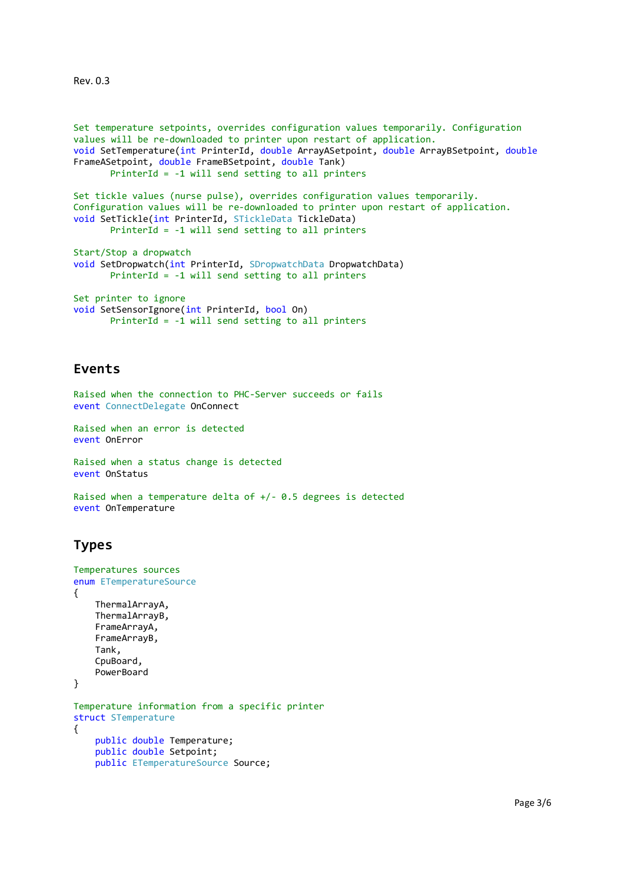Rev. 0.3

```
Set temperature setpoints, overrides configuration values temporarily. Configuration 
values will be re-downloaded to printer upon restart of application. 
void SetTemperature(int PrinterId, double ArrayASetpoint, double ArrayBSetpoint, double
FrameASetpoint, double FrameBSetpoint, double Tank) 
       PrinterId = -1 will send setting to all printers 
Set tickle values (nurse pulse), overrides configuration values temporarily. 
Configuration values will be re-downloaded to printer upon restart of application.
void SetTickle(int PrinterId, STickleData TickleData) 
       PrinterId = -1 will send setting to all printers 
Start/Stop a dropwatch
void SetDropwatch(int PrinterId, SDropwatchData DropwatchData) 
       PrinterId = -1 will send setting to all printers 
Set printer to ignore 
void SetSensorIgnore(int PrinterId, bool On)
```

```
PrinterId = -1 will send setting to all printers
```
### Events

```
Raised when the connection to PHC-Server succeeds or fails 
event ConnectDelegate OnConnect
```
Raised when an error is detected event OnError

```
Raised when a status change is detected 
event OnStatus
```

```
Raised when a temperature delta of +/- 0.5 degrees is detected
event OnTemperature
```
# Types

```
Temperatures sources 
enum ETemperatureSource
{ 
     ThermalArrayA, 
     ThermalArrayB, 
     FrameArrayA, 
     FrameArrayB, 
     Tank, 
     CpuBoard, 
     PowerBoard 
} 
Temperature information from a specific printer 
struct STemperature
{ 
     public double Temperature; 
     public double Setpoint; 
     public ETemperatureSource Source;
```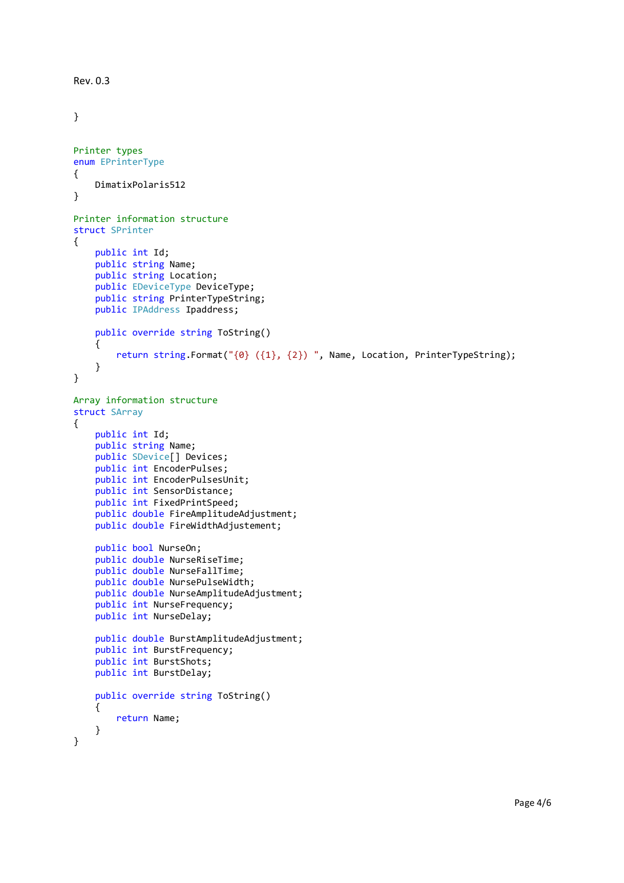```
Rev. 0.3 
} 
Printer types 
enum EPrinterType
{ 
     DimatixPolaris512 
} 
Printer information structure 
struct SPrinter
{ 
     public int Id; 
     public string Name; 
     public string Location; 
     public EDeviceType DeviceType; 
     public string PrinterTypeString; 
     public IPAddress Ipaddress; 
     public override string ToString() 
     { 
         return string.Format("{0} ({1}, {2}) ", Name, Location, PrinterTypeString); 
     } 
} 
Array information structure 
struct SArray
{ 
     public int Id; 
     public string Name; 
     public SDevice[] Devices; 
     public int EncoderPulses; 
     public int EncoderPulsesUnit; 
     public int SensorDistance; 
     public int FixedPrintSpeed; 
     public double FireAmplitudeAdjustment; 
     public double FireWidthAdjustement; 
     public bool NurseOn; 
     public double NurseRiseTime; 
     public double NurseFallTime; 
     public double NursePulseWidth; 
     public double NurseAmplitudeAdjustment; 
     public int NurseFrequency; 
     public int NurseDelay; 
     public double BurstAmplitudeAdjustment; 
     public int BurstFrequency; 
     public int BurstShots; 
     public int BurstDelay; 
     public override string ToString() 
     { 
         return Name; 
     } 
}
```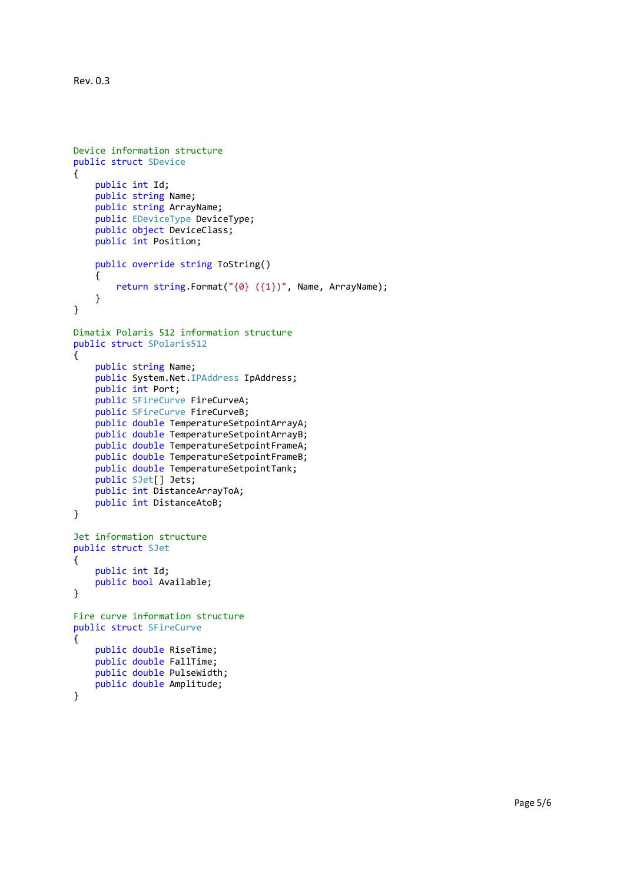```
Rev. 0.3
```

```
Device information structure
public struct SDevice
{ 
     public int Id; 
     public string Name; 
     public string ArrayName; 
     public EDeviceType DeviceType; 
     public object DeviceClass; 
     public int Position; 
     public override string ToString() 
     { 
         return string.Format("{0} ({1})", Name, ArrayName); 
     } 
} 
Dimatix Polaris 512 information structure
public struct SPolaris512
{ 
     public string Name; 
     public System.Net.IPAddress IpAddress; 
     public int Port; 
     public SFireCurve FireCurveA; 
     public SFireCurve FireCurveB; 
     public double TemperatureSetpointArrayA; 
     public double TemperatureSetpointArrayB; 
     public double TemperatureSetpointFrameA; 
     public double TemperatureSetpointFrameB; 
     public double TemperatureSetpointTank; 
     public SJet[] Jets; 
     public int DistanceArrayToA; 
     public int DistanceAtoB; 
} 
Jet information structure
public struct SJet
{ 
     public int Id; 
     public bool Available; 
} 
Fire curve information structure
public struct SFireCurve
{ 
     public double RiseTime; 
     public double FallTime; 
     public double PulseWidth; 
     public double Amplitude;
```
}